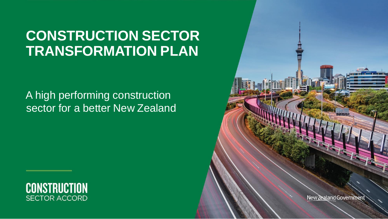# **CONSTRUCTION SECTOR TRANSFORMATION PLAN**

## A high performing construction sector for a better New Zealand



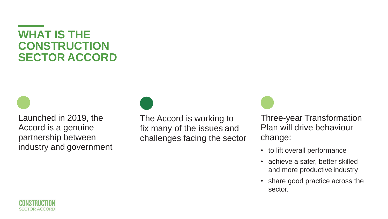## **WHAT IS THE CONSTRUCTION SECTOR ACCORD**

Launched in 2019, the Accord is a genuine partnership between industry and government **industry and government**  $\cdot$  to lift overall performance

The Accord is working to fix many of the issues and challenges facing the sector

Three-year Transformation Plan will drive behaviour change:

- 
- achieve a safer, better skilled and more productive industry
- share good practice across the sector.

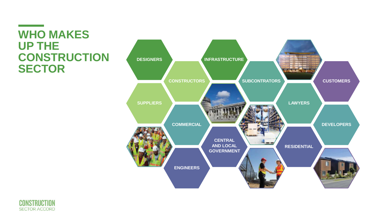## **WHO MAKES UP THE CONSTRUCTION SECTOR**



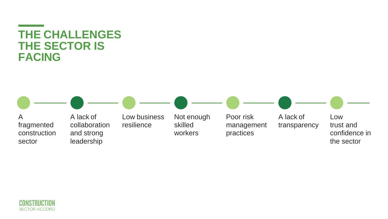## **THE CHALLENGES THE SECTOR IS FACING**



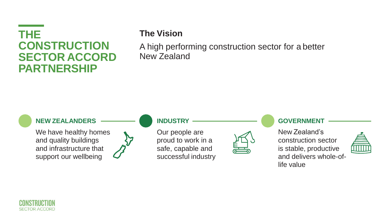## **THE CONSTRUCTION SECTOR ACCORD PARTNERSHIP**

### **The Vision**

A high performing construction sector for a better New Zealand

### **NEW ZEALANDERS**

We have healthy homes and quality buildings and infrastructure that support our wellbeing



### **INDUSTRY**

Our people are proud to work in a safe, capable and successful industry



### **GOVERNMENT**

New Zealand's construction sector is stable, productive and delivers whole-oflife value



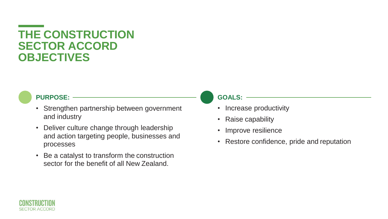## **THE CONSTRUCTION SECTOR ACCORD OBJECTIVES**

### **PURPOSE:**

- Strengthen partnership between government and industry
- Deliver culture change through leadership and action targeting people, businesses and processes
- Be a catalyst to transform the construction sector for the benefit of all New Zealand.

### **GOALS:**

- Increase productivity
- Raise capability
- Improve resilience
- Restore confidence, pride and reputation

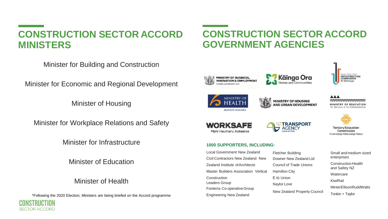### **CONSTRUCTION SECTOR ACCORD MINISTERS**

### Minister for Building and Construction

Minister for Economic and Regional Development

Minister of Housing

Minister for Workplace Relations and Safety

Minister for Infrastructure

Minister of Education

### Minister of Health

\*Following the 2020 Election, Ministers are being briefed on the Accord programme



### **CONSTRUCTION SECTOR ACCORD GOVERNMENT AGENCIES**



**MANATU HAUORA** 

**MINISTRY OF BUSINESS INNOVATION & EMPLOYMENT** 



**Käinga Ora** 



AAA MINISTRY OF EDUCATION TE TÂMINHI O TE MÂTAHRANGA

**ICIAL ZCALAND NEW ZEALAND**<br>**INFRASTRUCTURE** 





#### **1000 SUPPORTERS, INCLUDING:**

Local Government New Zealand Civil Contractors New Zealand New Zealand Institute ofArchitects Master Builders Association Vertical Construction Leaders Group Fonterra Co-operativeGroup Engineering New Zealand

Fletcher Building Downer New Zealand Ltd Council of Trade Unions Hamilton City E tū Union Naylor Love New Zealand Property Council



Commission Te Amorangi Matauranga Matua

Tonkin + Taylor

Small andmedium-sized enterprises Construction Health and Safety NZ **Watercare** KiwiRail MinterEllisonRuddWatts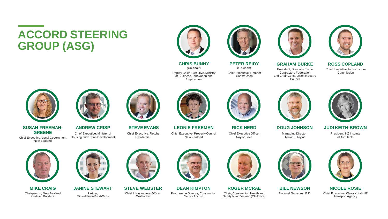# **ACCORD STEERING GROUP (ASG)**



**CHRIS BUNNY** (Co-chair) Deputy Chief Executive, Ministry of Business, Innovation and

Employment

**PETER REIDY** (Co-chair) Chief Executive,Fletcher **Construction** 

**GRAHAM BURKE** President, Specialist Trade Contractors Federation and Chair Construction Industry Council



**ROSS COPLAND** Chief Executive, Infrastructure Commission



Chief Executive, Local Government New Zealand



**GREENE** Chief Executive, Ministry of Chief Executive, Pletcher Chief Executive, Property Council Chief Executive Office,<br>Cocal Government Housing and Urban Development Residential Resolution New Zealand Naylor Love Naylor









**SUSAN FREEMAN- ANDREW CRISP STEVE EVANS LEONIE FREEMAN RICK HERD DOUG JOHNSON JUDI KEITH-BROWN**









**MIKE CRAIG JANINE STEWART STEVE WEBSTER DEAN KIMPTON ROGER MCRAE BILL NEWSON NICOLE ROSIE** Chairperson, New Zealand Partner, Partner, Chief Infrastructure Officer, Programme Director, Construction Chair, Construction Health and National Secretary, E tū Chief Executive, Waka KotahiNZ<br>Certified Builders MinterElli



Safety New Zealand (CHASNZ)



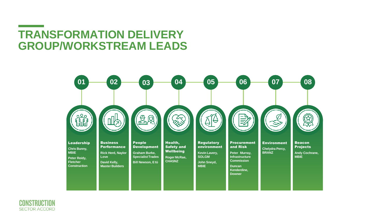## **TRANSFORMATION DELIVERY GROUP/WORKSTREAM LEADS**





the control of the control of the con-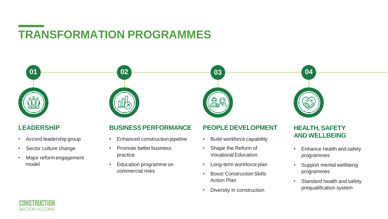# **TRANSFORMATION PROGRAMMES**



### **LEADERSHIP**

- Accord leadership group
- Sector culture change
- Major reform engagement model

### **BUSINESSPERFORMANCE**

- Enhanced construction pipeline
- Promote better business practice
- Education programme on commercial risks

### **PEOPLE DEVELOPMENT**

- Build workforce capability
- Shape the Reform of Vocational Education
- Long-term workforce plan
- Boost Construction Skills Action Plan
- Diversity in construction

### **HEALTH, SAFETY AND WELLBEING**

- Enhance health and safety programmes
- Support mental wellbeing programmes
- Standard health and safety prequalification system

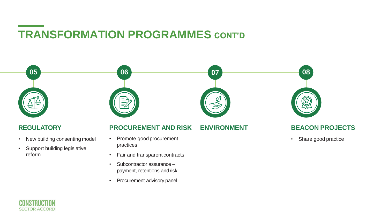# **TRANSFORMATION PROGRAMMES CONT'D**



- Fair and transparent contracts
- Subcontractor assurance payment, retentions andrisk
- Procurement advisory panel

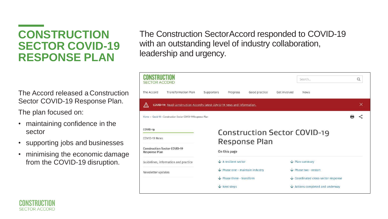## **CONSTRUCTION SECTOR COVID-19 RESPONSE PLAN**

The Accord released a Construction Sector COVID-19 Response Plan.

The plan focused on:

- maintaining confidence in the sector
- supporting jobs and businesses
- minimising the economic damage from the COVID-19 disruption.

The Construction SectorAccord responded to COVID-19 with an outstanding level of industry collaboration, leadership and urgency.



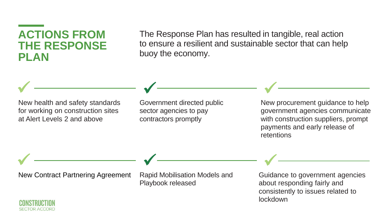## **ACTIONS FROM THE RESPONSE PLAN**

The Response Plan has resulted in tangible, real action to ensure a resilient and sustainable sector that can help buoy the economy.

New health and safety standards for working on construction sites at Alert Levels 2 and above

Government directed public sector agencies to pay contractors promptly  $\sqrt{ }$ 

New procurement guidance to help government agencies communicate with construction suppliers, prompt payments and early release of retentions

New Contract Partnering Agreement Rapid Mobilisation Models and

 $\sqrt{ }$ 

Playbook released

Guidance to government agencies about responding fairly and consistently to issues related to lockdown

✓

✓

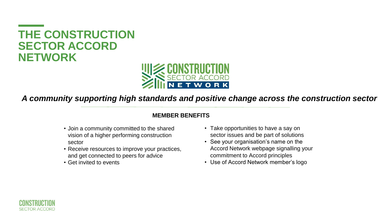## **THE CONSTRUCTION SECTOR ACCORD NETWORK**



*A community supporting high standards and positive change across the construction sector*

### **MEMBER BENEFITS**

- Join a community committed to the shared vision of a higher performing construction sector
- Receive resources to improve your practices, and get connected to peers for advice
- Get invited to events
- Take opportunities to have a say on sector issues and be part of solutions
- See your organisation's name on the Accord Network webpage signalling your commitment to Accord principles
- Use of Accord Network member's logo

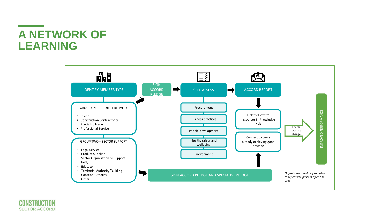## **A NETWORK OF LEARNING**

**Contract Contract Contract** 



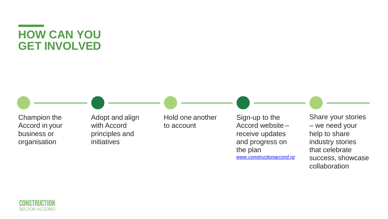## **HOW CAN YOU GET INVOLVED**

Champion the Accord in your business or organisation

Adopt and align with Accord principles and initiatives

Hold one another to account

Sign-up to the Accord website – receive updates and progress on the plan *[www.constructionaccord.nz](http://www.constructionaccord.nz/)*

Share your stories – we need your help to share industry stories that celebrate success, showcase collaboration